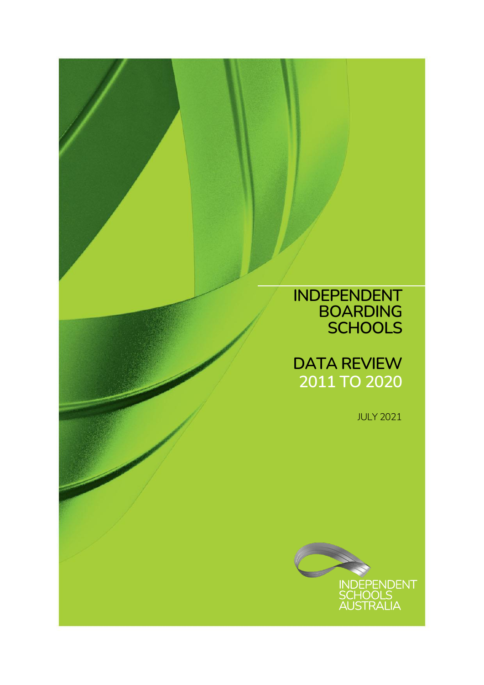### **INDEPENDENT BOARDING SCHOOLS**

### **DATA REVIEW 2011 TO 2020**

JULY 2021

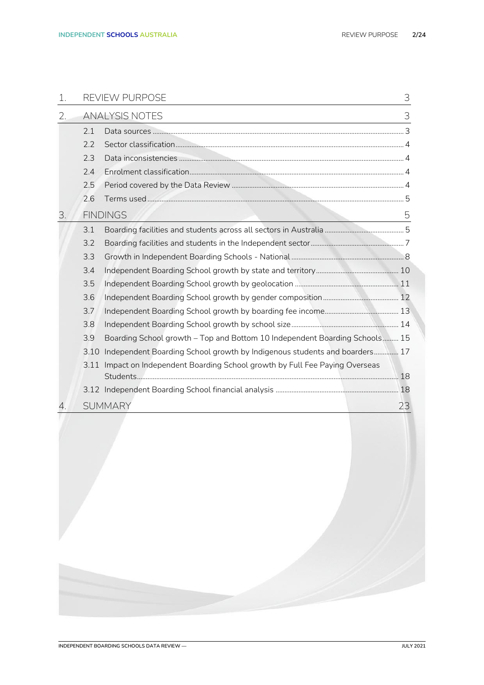| 1. |      | REVIEW PURPOSE                                                             | 3  |
|----|------|----------------------------------------------------------------------------|----|
| 2. |      | <b>ANALYSIS NOTES</b>                                                      | 3  |
|    | 2.1  |                                                                            |    |
|    | 2.2  |                                                                            |    |
|    | 2.3  |                                                                            |    |
|    | 2.4  |                                                                            |    |
|    | 2.5  |                                                                            |    |
|    | 2.6  |                                                                            |    |
| 3. |      | <b>FINDINGS</b>                                                            | 5  |
|    | 3.1  |                                                                            |    |
|    | 3.2  |                                                                            |    |
|    | 3.3  |                                                                            |    |
|    | 3.4  |                                                                            |    |
|    | 3.5  |                                                                            |    |
|    | 3.6  |                                                                            |    |
|    | 3.7  |                                                                            |    |
|    | 3.8  |                                                                            |    |
|    | 3.9  | Boarding School growth - Top and Bottom 10 Independent Boarding Schools 15 |    |
|    | 3.10 | Independent Boarding School growth by Indigenous students and boarders 17  |    |
|    | 3.11 | Impact on Independent Boarding School growth by Full Fee Paying Overseas   |    |
|    |      |                                                                            |    |
|    |      |                                                                            |    |
|    |      | <b>SUMMARY</b>                                                             | 23 |
|    |      |                                                                            |    |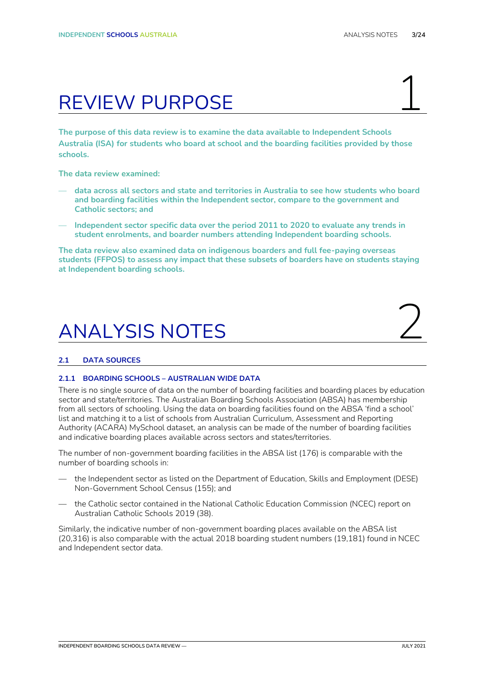## <span id="page-2-0"></span>REVIEW PURPOSE

**The purpose of this data review is to examine the data available to Independent Schools Australia (ISA) for students who board at school and the boarding facilities provided by those schools.**

**The data review examined:**

- **data across all sectors and state and territories in Australia to see how students who board and boarding facilities within the Independent sector, compare to the government and Catholic sectors; and**
- **Independent sector specific data over the period 2011 to 2020 to evaluate any trends in student enrolments, and boarder numbers attending Independent boarding schools.**

**The data review also examined data on indigenous boarders and full fee-paying overseas students (FFPOS) to assess any impact that these subsets of boarders have on students staying at Independent boarding schools.**

## <span id="page-2-1"></span>**ANALYSIS NOTES**

#### <span id="page-2-2"></span>**2.1 DATA SOURCES**

#### **2.1.1 BOARDING SCHOOLS – AUSTRALIAN WIDE DATA**

There is no single source of data on the number of boarding facilities and boarding places by education sector and state/territories. The Australian Boarding Schools Association (ABSA) has membership from all sectors of schooling. Using the data on boarding facilities found on the ABSA 'find a school' list and matching it to a list of schools from Australian Curriculum, Assessment and Reporting Authority (ACARA) MySchool dataset, an analysis can be made of the number of boarding facilities and indicative boarding places available across sectors and states/territories.

The number of non-government boarding facilities in the ABSA list (176) is comparable with the number of boarding schools in:

- the Independent sector as listed on the Department of Education, Skills and Employment (DESE) Non-Government School Census (155); and
- the Catholic sector contained in the National Catholic Education Commission (NCEC) report on Australian Catholic Schools 2019 (38).

Similarly, the indicative number of non-government boarding places available on the ABSA list (20,316) is also comparable with the actual 2018 boarding student numbers (19,181) found in NCEC and Independent sector data.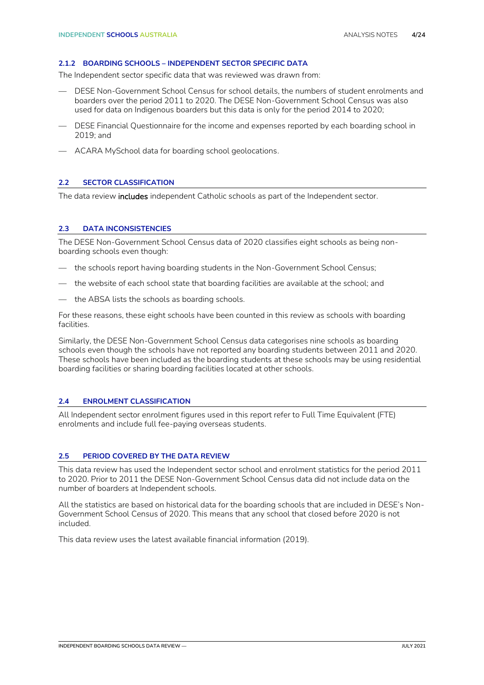#### **2.1.2 BOARDING SCHOOLS – INDEPENDENT SECTOR SPECIFIC DATA**

The Independent sector specific data that was reviewed was drawn from:

- DESE Non-Government School Census for school details, the numbers of student enrolments and boarders over the period 2011 to 2020. The DESE Non-Government School Census was also used for data on Indigenous boarders but this data is only for the period 2014 to 2020;
- DESE Financial Questionnaire for the income and expenses reported by each boarding school in 2019; and
- ACARA MySchool data for boarding school geolocations.

#### <span id="page-3-0"></span>**2.2 SECTOR CLASSIFICATION**

The data review includes independent Catholic schools as part of the Independent sector.

#### <span id="page-3-1"></span>**2.3 DATA INCONSISTENCIES**

The DESE Non-Government School Census data of 2020 classifies eight schools as being nonboarding schools even though:

- the schools report having boarding students in the Non-Government School Census;
- the website of each school state that boarding facilities are available at the school; and
- the ABSA lists the schools as boarding schools.

For these reasons, these eight schools have been counted in this review as schools with boarding facilities.

Similarly, the DESE Non-Government School Census data categorises nine schools as boarding schools even though the schools have not reported any boarding students between 2011 and 2020. These schools have been included as the boarding students at these schools may be using residential boarding facilities or sharing boarding facilities located at other schools.

#### <span id="page-3-2"></span>**2.4 ENROLMENT CLASSIFICATION**

All Independent sector enrolment figures used in this report refer to Full Time Equivalent (FTE) enrolments and include full fee-paying overseas students.

#### <span id="page-3-3"></span>**2.5 PERIOD COVERED BY THE DATA REVIEW**

This data review has used the Independent sector school and enrolment statistics for the period 2011 to 2020. Prior to 2011 the DESE Non-Government School Census data did not include data on the number of boarders at Independent schools.

All the statistics are based on historical data for the boarding schools that are included in DESE's Non-Government School Census of 2020. This means that any school that closed before 2020 is not included.

This data review uses the latest available financial information (2019).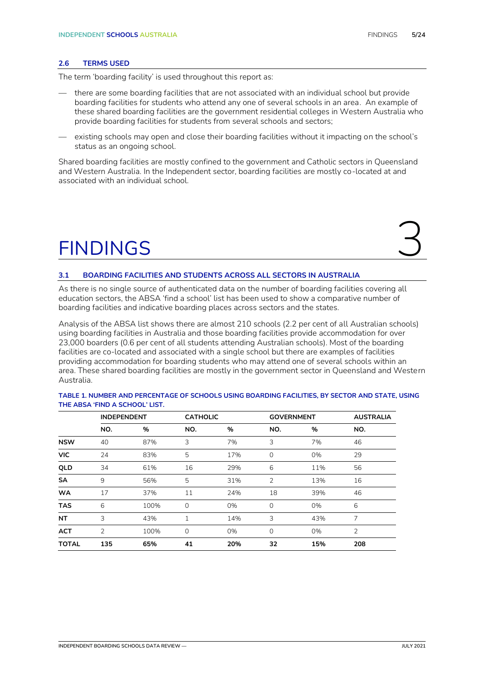#### <span id="page-4-0"></span>**2.6 TERMS USED**

The term 'boarding facility' is used throughout this report as:

- there are some boarding facilities that are not associated with an individual school but provide boarding facilities for students who attend any one of several schools in an area. An example of these shared boarding facilities are the government residential colleges in Western Australia who provide boarding facilities for students from several schools and sectors;
- existing schools may open and close their boarding facilities without it impacting on the school's status as an ongoing school.

Shared boarding facilities are mostly confined to the government and Catholic sectors in Queensland and Western Australia. In the Independent sector, boarding facilities are mostly co-located at and associated with an individual school.

# <span id="page-4-1"></span>FINDINGS 3

#### <span id="page-4-2"></span>**3.1 BOARDING FACILITIES AND STUDENTS ACROSS ALL SECTORS IN AUSTRALIA**

As there is no single source of authenticated data on the number of boarding facilities covering all education sectors, the ABSA 'find a school' list has been used to show a comparative number of boarding facilities and indicative boarding places across sectors and the states.

Analysis of the ABSA list shows there are almost 210 schools (2.2 per cent of all Australian schools) using boarding facilities in Australia and those boarding facilities provide accommodation for over 23,000 boarders (0.6 per cent of all students attending Australian schools). Most of the boarding facilities are co-located and associated with a single school but there are examples of facilities providing accommodation for boarding students who may attend one of several schools within an area. These shared boarding facilities are mostly in the government sector in Queensland and Western Australia.

|              | <b>INDEPENDENT</b> |      |             | <b>CATHOLIC</b> |          | <b>GOVERNMENT</b> | <b>AUSTRALIA</b> |
|--------------|--------------------|------|-------------|-----------------|----------|-------------------|------------------|
|              | NO.                | %    | NO.         | %               | NO.      | %                 | NO.              |
| <b>NSW</b>   | 40                 | 87%  | 3           | 7%              | 3        | 7%                | 46               |
| <b>VIC</b>   | 24                 | 83%  | 5           | 17%             | $\circ$  | 0%                | 29               |
| QLD          | 34                 | 61%  | 16          | 29%             | 6        | 11%               | 56               |
| <b>SA</b>    | 9                  | 56%  | 5           | 31%             | 2        | 13%               | 16               |
| <b>WA</b>    | 17                 | 37%  | 11          | 24%             | 18       | 39%               | 46               |
| <b>TAS</b>   | 6                  | 100% | 0           | 0%              | $\Omega$ | 0%                | 6                |
| <b>NT</b>    | 3                  | 43%  | 1           | 14%             | 3        | 43%               | 7                |
| <b>ACT</b>   | $\overline{2}$     | 100% | $\mathbf 0$ | 0%              | $\circ$  | 0%                | $\overline{2}$   |
| <b>TOTAL</b> | 135                | 65%  | 41          | 20%             | 32       | 15%               | 208              |

#### **TABLE 1. NUMBER AND PERCENTAGE OF SCHOOLS USING BOARDING FACILITIES, BY SECTOR AND STATE, USING THE ABSA 'FIND A SCHOOL' LIST.**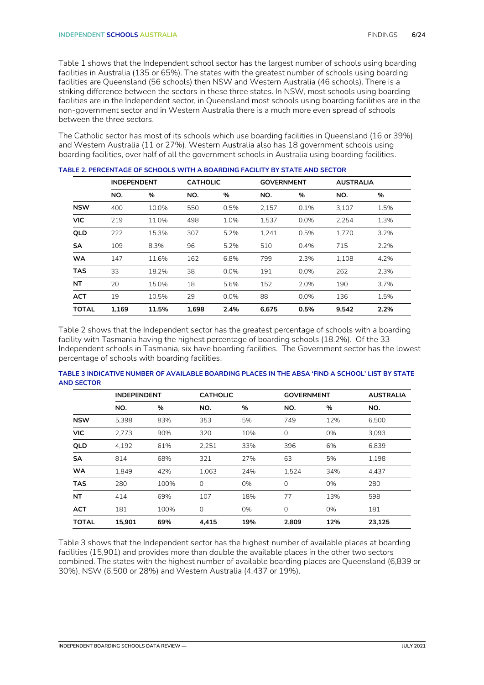Table 1 shows that the Independent school sector has the largest number of schools using boarding facilities in Australia (135 or 65%). The states with the greatest number of schools using boarding facilities are Queensland (56 schools) then NSW and Western Australia (46 schools). There is a striking difference between the sectors in these three states. In NSW, most schools using boarding facilities are in the Independent sector, in Queensland most schools using boarding facilities are in the non-government sector and in Western Australia there is a much more even spread of schools between the three sectors.

The Catholic sector has most of its schools which use boarding facilities in Queensland (16 or 39%) and Western Australia (11 or 27%). Western Australia also has 18 government schools using boarding facilities, over half of all the government schools in Australia using boarding facilities.

|              | <b>INDEPENDENT</b> |       |       | <b>CATHOLIC</b> |       | <b>GOVERNMENT</b> |       | <b>AUSTRALIA</b> |
|--------------|--------------------|-------|-------|-----------------|-------|-------------------|-------|------------------|
|              | NO.                | %     | NO.   | %               | NO.   | %                 | NO.   | %                |
| <b>NSW</b>   | 400                | 10.0% | 550   | 0.5%            | 2.157 | 0.1%              | 3.107 | 1.5%             |
| <b>VIC</b>   | 219                | 11.0% | 498   | 1.0%            | 1,537 | 0.0%              | 2,254 | 1.3%             |
| QLD          | 222                | 15.3% | 307   | 5.2%            | 1,241 | 0.5%              | 1.770 | 3.2%             |
| <b>SA</b>    | 109                | 8.3%  | 96    | 5.2%            | 510   | 0.4%              | 715   | 2.2%             |
| <b>WA</b>    | 147                | 11.6% | 162   | 6.8%            | 799   | 2.3%              | 1.108 | 4.2%             |
| <b>TAS</b>   | 33                 | 18.2% | 38    | 0.0%            | 191   | 0.0%              | 262   | 2.3%             |
| <b>NT</b>    | 20                 | 15.0% | 18    | 5.6%            | 152   | 2.0%              | 190   | 3.7%             |
| <b>ACT</b>   | 19                 | 10.5% | 29    | 0.0%            | 88    | 0.0%              | 136   | 1.5%             |
| <b>TOTAL</b> | 1,169              | 11.5% | 1,698 | 2.4%            | 6,675 | 0.5%              | 9,542 | 2.2%             |

Table 2 shows that the Independent sector has the greatest percentage of schools with a boarding facility with Tasmania having the highest percentage of boarding schools (18.2%). Of the 33 Independent schools in Tasmania, six have boarding facilities. The Government sector has the lowest percentage of schools with boarding facilities.

|              | <b>INDEPENDENT</b> |      |             | <b>CATHOLIC</b> |          | <b>GOVERNMENT</b> | <b>AUSTRALIA</b> |
|--------------|--------------------|------|-------------|-----------------|----------|-------------------|------------------|
|              | NO.                | %    | NO.         | %               | NO.      | %                 | NO.              |
| <b>NSW</b>   | 5,398              | 83%  | 353         | 5%              | 749      | 12%               | 6,500            |
| <b>VIC</b>   | 2.773              | 90%  | 320         | 10%             | $\Omega$ | 0%                | 3.093            |
| QLD          | 4,192              | 61%  | 2,251       | 33%             | 396      | 6%                | 6,839            |
| <b>SA</b>    | 814                | 68%  | 321         | 27%             | 63       | 5%                | 1.198            |
| <b>WA</b>    | 1.849              | 42%  | 1.063       | 24%             | 1,524    | 34%               | 4.437            |
| <b>TAS</b>   | 280                | 100% | $\Omega$    | 0%              | $\Omega$ | 0%                | 280              |
| NT           | 414                | 69%  | 107         | 18%             | 77       | 13%               | 598              |
| <b>ACT</b>   | 181                | 100% | $\mathbf 0$ | 0%              | $\Omega$ | 0%                | 181              |
| <b>TOTAL</b> | 15,901             | 69%  | 4.415       | 19%             | 2.809    | 12%               | 23,125           |

**TABLE 3 INDICATIVE NUMBER OF AVAILABLE BOARDING PLACES IN THE ABSA 'FIND A SCHOOL' LIST BY STATE AND SECTOR**

Table 3 shows that the Independent sector has the highest number of available places at boarding facilities (15,901) and provides more than double the available places in the other two sectors combined. The states with the highest number of available boarding places are Queensland (6,839 or 30%), NSW (6,500 or 28%) and Western Australia (4,437 or 19%).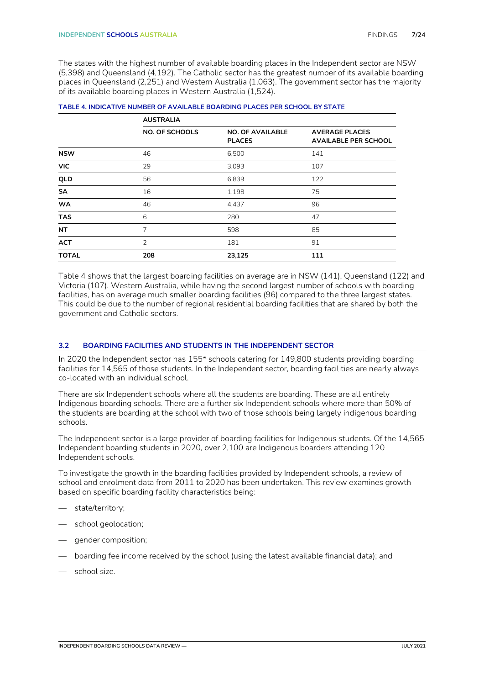The states with the highest number of available boarding places in the Independent sector are NSW (5,398) and Queensland (4,192). The Catholic sector has the greatest number of its available boarding places in Queensland (2,251) and Western Australia (1,063). The government sector has the majority of its available boarding places in Western Australia (1,524).

|              | <b>AUSTRALIA</b>      |                                          |                                                      |
|--------------|-----------------------|------------------------------------------|------------------------------------------------------|
|              | <b>NO. OF SCHOOLS</b> | <b>NO. OF AVAILABLE</b><br><b>PLACES</b> | <b>AVERAGE PLACES</b><br><b>AVAILABLE PER SCHOOL</b> |
| <b>NSW</b>   | 46                    | 6,500                                    | 141                                                  |
| <b>VIC</b>   | 29                    | 3,093                                    | 107                                                  |
| QLD          | 56                    | 6,839                                    | 122                                                  |
| SA           | 16                    | 1,198                                    | 75                                                   |
| <b>WA</b>    | 46                    | 4,437                                    | 96                                                   |
| <b>TAS</b>   | 6                     | 280                                      | 47                                                   |
| <b>NT</b>    | 7                     | 598                                      | 85                                                   |
| <b>ACT</b>   | $\overline{2}$        | 181                                      | 91                                                   |
| <b>TOTAL</b> | 208                   | 23,125                                   | 111                                                  |

| TABLE 4. INDICATIVE NUMBER OF AVAILABLE BOARDING PLACES PER SCHOOL BY STATE |  |  |
|-----------------------------------------------------------------------------|--|--|
|                                                                             |  |  |
|                                                                             |  |  |

Table 4 shows that the largest boarding facilities on average are in NSW (141), Queensland (122) and Victoria (107). Western Australia, while having the second largest number of schools with boarding facilities, has on average much smaller boarding facilities (96) compared to the three largest states. This could be due to the number of regional residential boarding facilities that are shared by both the government and Catholic sectors.

#### <span id="page-6-0"></span>**3.2 BOARDING FACILITIES AND STUDENTS IN THE INDEPENDENT SECTOR**

In 2020 the Independent sector has 155\* schools catering for 149,800 students providing boarding facilities for 14,565 of those students. In the Independent sector, boarding facilities are nearly always co-located with an individual school.

There are six Independent schools where all the students are boarding. These are all entirely Indigenous boarding schools. There are a further six Independent schools where more than 50% of the students are boarding at the school with two of those schools being largely indigenous boarding schools.

The Independent sector is a large provider of boarding facilities for Indigenous students. Of the 14,565 Independent boarding students in 2020, over 2,100 are Indigenous boarders attending 120 Independent schools.

To investigate the growth in the boarding facilities provided by Independent schools, a review of school and enrolment data from 2011 to 2020 has been undertaken. This review examines growth based on specific boarding facility characteristics being:

- state/territory;
- school geolocation;
- gender composition;
- boarding fee income received by the school (using the latest available financial data); and
- school size.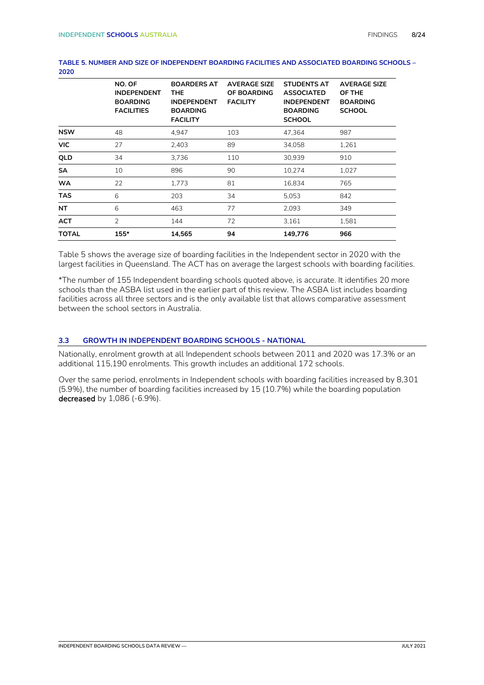|              | NO. OF<br><b>INDEPENDENT</b><br><b>BOARDING</b><br><b>FACILITIES</b> | <b>BOARDERS AT</b><br>THE.<br><b>INDEPENDENT</b><br><b>BOARDING</b><br><b>FACILITY</b> | <b>AVERAGE SIZE</b><br>OF BOARDING<br><b>FACILITY</b> | <b>STUDENTS AT</b><br><b>ASSOCIATED</b><br><b>INDEPENDENT</b><br><b>BOARDING</b><br><b>SCHOOL</b> | <b>AVERAGE SIZE</b><br>OF THE<br><b>BOARDING</b><br><b>SCHOOL</b> |
|--------------|----------------------------------------------------------------------|----------------------------------------------------------------------------------------|-------------------------------------------------------|---------------------------------------------------------------------------------------------------|-------------------------------------------------------------------|
| <b>NSW</b>   | 48                                                                   | 4,947                                                                                  | 103                                                   | 47,364                                                                                            | 987                                                               |
| <b>VIC</b>   | 27                                                                   | 2,403                                                                                  | 89                                                    | 34,058                                                                                            | 1,261                                                             |
| QLD          | 34                                                                   | 3,736                                                                                  | 110                                                   | 30,939                                                                                            | 910                                                               |
| <b>SA</b>    | 10                                                                   | 896                                                                                    | 90                                                    | 10,274                                                                                            | 1,027                                                             |
| <b>WA</b>    | 22                                                                   | 1,773                                                                                  | 81                                                    | 16,834                                                                                            | 765                                                               |
| <b>TAS</b>   | 6                                                                    | 203                                                                                    | 34                                                    | 5,053                                                                                             | 842                                                               |
| NT           | 6                                                                    | 463                                                                                    | 77                                                    | 2,093                                                                                             | 349                                                               |
| <b>ACT</b>   | $\overline{2}$                                                       | 144                                                                                    | 72                                                    | 3,161                                                                                             | 1,581                                                             |
| <b>TOTAL</b> | $155*$                                                               | 14,565                                                                                 | 94                                                    | 149,776                                                                                           | 966                                                               |

#### **TABLE 5. NUMBER AND SIZE OF INDEPENDENT BOARDING FACILITIES AND ASSOCIATED BOARDING SCHOOLS – 2020**

Table 5 shows the average size of boarding facilities in the Independent sector in 2020 with the largest facilities in Queensland. The ACT has on average the largest schools with boarding facilities.

\*The number of 155 Independent boarding schools quoted above, is accurate. It identifies 20 more schools than the ASBA list used in the earlier part of this review. The ASBA list includes boarding facilities across all three sectors and is the only available list that allows comparative assessment between the school sectors in Australia.

#### <span id="page-7-0"></span>**3.3 GROWTH IN INDEPENDENT BOARDING SCHOOLS - NATIONAL**

Nationally, enrolment growth at all Independent schools between 2011 and 2020 was 17.3% or an additional 115,190 enrolments. This growth includes an additional 172 schools.

Over the same period, enrolments in Independent schools with boarding facilities increased by 8,301 (5.9%), the number of boarding facilities increased by 15 (10.7%) while the boarding population decreased by 1,086 (-6.9%).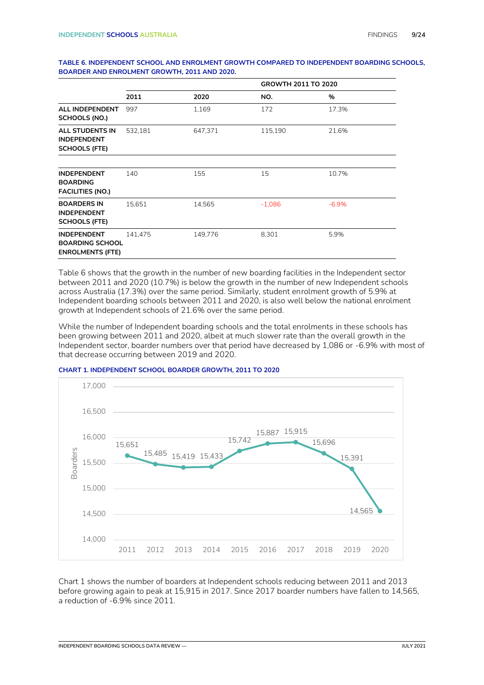#### **TABLE 6. INDEPENDENT SCHOOL AND ENROLMENT GROWTH COMPARED TO INDEPENDENT BOARDING SCHOOLS, BOARDER AND ENROLMENT GROWTH, 2011 AND 2020.**

|                                                                         |         |         | GROWTH 2011 TO 2020 |         |  |
|-------------------------------------------------------------------------|---------|---------|---------------------|---------|--|
|                                                                         | 2011    | 2020    | NO.                 | %       |  |
| ALL INDEPENDENT<br>SCHOOLS (NO.)                                        | 997     | 1,169   | 172                 | 17.3%   |  |
| <b>ALL STUDENTS IN</b><br><b>INDEPENDENT</b><br><b>SCHOOLS (FTE)</b>    | 532,181 | 647,371 | 115,190             | 21.6%   |  |
| <b>INDEPENDENT</b><br><b>BOARDING</b><br><b>FACILITIES (NO.)</b>        | 140     | 155     | 15                  | 10.7%   |  |
| <b>BOARDERS IN</b><br><b>INDEPENDENT</b><br><b>SCHOOLS (FTE)</b>        | 15.651  | 14,565  | $-1,086$            | $-6.9%$ |  |
| <b>INDEPENDENT</b><br><b>BOARDING SCHOOL</b><br><b>ENROLMENTS (FTE)</b> | 141.475 | 149,776 | 8,301               | 5.9%    |  |

Table 6 shows that the growth in the number of new boarding facilities in the Independent sector between 2011 and 2020 (10.7%) is below the growth in the number of new Independent schools across Australia (17.3%) over the same period. Similarly, student enrolment growth of 5.9% at Independent boarding schools between 2011 and 2020, is also well below the national enrolment growth at Independent schools of 21.6% over the same period.

While the number of Independent boarding schools and the total enrolments in these schools has been growing between 2011 and 2020, albeit at much slower rate than the overall growth in the Independent sector, boarder numbers over that period have decreased by 1,086 or -6.9% with most of that decrease occurring between 2019 and 2020.





Chart 1 shows the number of boarders at Independent schools reducing between 2011 and 2013 before growing again to peak at 15,915 in 2017. Since 2017 boarder numbers have fallen to 14,565, a reduction of -6.9% since 2011.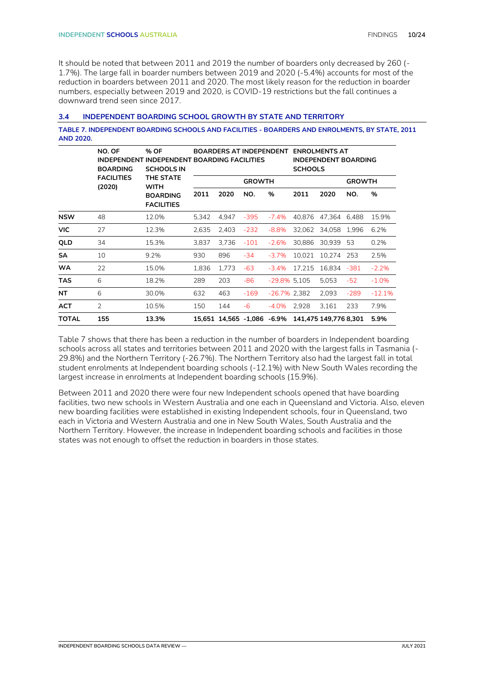It should be noted that between 2011 and 2019 the number of boarders only decreased by 260 (- 1.7%). The large fall in boarder numbers between 2019 and 2020 (-5.4%) accounts for most of the reduction in boarders between 2011 and 2020. The most likely reason for the reduction in boarder numbers, especially between 2019 and 2020, is COVID-19 restrictions but the fall continues a downward trend seen since 2017.

#### <span id="page-9-0"></span>**3.4 INDEPENDENT BOARDING SCHOOL GROWTH BY STATE AND TERRITORY**

**TABLE 7. INDEPENDENT BOARDING SCHOOLS AND FACILITIES - BOARDERS AND ENROLMENTS, BY STATE, 2011 AND 2020.**

|              | NO. OF<br><b>BOARDING</b>   | % OF<br><b>BOARDERS AT INDEPENDENT</b><br>INDEPENDENT INDEPENDENT BOARDING FACILITIES<br><b>SCHOOLS IN</b> |       |                            | <b>ENROLMENTS AT</b><br><b>INDEPENDENT BOARDING</b><br><b>SCHOOLS</b> |                 |        |                       |               |          |
|--------------|-----------------------------|------------------------------------------------------------------------------------------------------------|-------|----------------------------|-----------------------------------------------------------------------|-----------------|--------|-----------------------|---------------|----------|
|              | <b>FACILITIES</b><br>(2020) | THE STATE<br><b>WITH</b>                                                                                   |       |                            | <b>GROWTH</b>                                                         |                 |        |                       | <b>GROWTH</b> |          |
|              |                             | <b>BOARDING</b><br><b>FACILITIES</b>                                                                       | 2011  | 2020                       | NO.                                                                   | %               | 2011   | 2020                  | NO.           | %        |
| <b>NSW</b>   | 48                          | 12.0%                                                                                                      | 5.342 | 4.947                      | $-395$                                                                | $-7.4%$         | 40.876 | 47.364 6.488          |               | 15.9%    |
| <b>VIC</b>   | 27                          | 12.3%                                                                                                      | 2,635 | 2,403                      | $-232$                                                                | $-8.8%$         | 32,062 | 34,058                | 1.996         | 6.2%     |
| QLD          | 34                          | 15.3%                                                                                                      | 3.837 | 3.736                      | $-101$                                                                | $-2.6%$         | 30.886 | 30.939                | 53            | 0.2%     |
| <b>SA</b>    | 10                          | 9.2%                                                                                                       | 930   | 896                        | $-34$                                                                 | $-3.7%$         | 10.021 | 10.274                | 253           | 2.5%     |
| <b>WA</b>    | 22                          | 15.0%                                                                                                      | 1,836 | 1,773                      | $-63$                                                                 | $-3.4\%$        | 17,215 | 16,834 -381           |               | $-2.2%$  |
| <b>TAS</b>   | 6                           | 18.2%                                                                                                      | 289   | 203                        | -86                                                                   | $-29.8\%$ 5,105 |        | 5,053                 | $-52$         | $-1.0%$  |
| <b>NT</b>    | 6                           | 30.0%                                                                                                      | 632   | 463                        | $-169$                                                                | $-26.7\%$ 2.382 |        | 2.093                 | $-289$        | $-12.1%$ |
| <b>ACT</b>   | $\overline{2}$              | 10.5%                                                                                                      | 150   | 144                        | $-6$                                                                  | $-4.0\%$        | 2,928  | 3,161                 | 233           | 7.9%     |
| <b>TOTAL</b> | 155                         | 13.3%                                                                                                      |       | 15,651 14,565 -1,086 -6.9% |                                                                       |                 |        | 141,475 149,776 8,301 |               | 5.9%     |

Table 7 shows that there has been a reduction in the number of boarders in Independent boarding schools across all states and territories between 2011 and 2020 with the largest falls in Tasmania (- 29.8%) and the Northern Territory (-26.7%). The Northern Territory also had the largest fall in total student enrolments at Independent boarding schools (-12.1%) with New South Wales recording the largest increase in enrolments at Independent boarding schools (15.9%).

Between 2011 and 2020 there were four new Independent schools opened that have boarding facilities, two new schools in Western Australia and one each in Queensland and Victoria. Also, eleven new boarding facilities were established in existing Independent schools, four in Queensland, two each in Victoria and Western Australia and one in New South Wales, South Australia and the Northern Territory. However, the increase in Independent boarding schools and facilities in those states was not enough to offset the reduction in boarders in those states.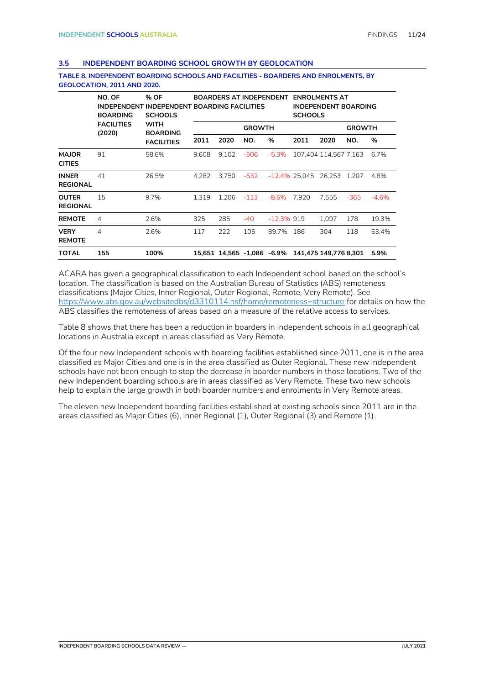#### <span id="page-10-0"></span>**3.5 INDEPENDENT BOARDING SCHOOL GROWTH BY GEOLOCATION**

|                                 | NO. OF<br><b>BOARDING</b><br><b>FACILITIES</b> | % OF<br><b>INDEPENDENT INDEPENDENT BOARDING FACILITIES</b><br><b>SCHOOLS</b> |       | <b>BOARDERS AT INDEPENDENT</b> |               |               |                  | <b>ENROLMENTS AT</b><br><b>INDEPENDENT BOARDING</b><br><b>SCHOOLS</b> |               |         |  |
|---------------------------------|------------------------------------------------|------------------------------------------------------------------------------|-------|--------------------------------|---------------|---------------|------------------|-----------------------------------------------------------------------|---------------|---------|--|
|                                 |                                                | <b>WITH</b><br><b>BOARDING</b><br><b>FACILITIES</b>                          |       |                                | <b>GROWTH</b> |               |                  |                                                                       | <b>GROWTH</b> |         |  |
|                                 | (2020)                                         |                                                                              | 2011  | 2020                           | NO.           | %             | 2011             | 2020                                                                  | NO.           | %       |  |
| <b>MAJOR</b><br><b>CITIES</b>   | 91                                             | 58.6%                                                                        | 9.608 | 9.102                          | -506          | $-5.3\%$      |                  | 107.404 114.567 7.163                                                 |               | 6.7%    |  |
| <b>INNER</b><br><b>REGIONAL</b> | 41                                             | 26.5%                                                                        | 4.282 | 3.750                          | -532          |               | $-12.4\%$ 25.045 | 26.253 1.207                                                          |               | 4.8%    |  |
| <b>OUTER</b><br><b>REGIONAL</b> | 15                                             | 9.7%                                                                         | 1.319 | 1,206                          | -113          | -8.6%         | 7.920            | 7.555                                                                 | -365          | $-4.6%$ |  |
| <b>REMOTE</b>                   | 4                                              | 2.6%                                                                         | 325   | 285                            | -40           | $-12.3\%$ 919 |                  | 1.097                                                                 | 178           | 19.3%   |  |
| <b>VERY</b><br><b>REMOTE</b>    | 4                                              | 2.6%                                                                         | 117   | 222                            | 105           | 89.7%         | 186              | 304                                                                   | 118           | 63.4%   |  |
| <b>TOTAL</b>                    | 155                                            | 100%                                                                         |       |                                |               |               |                  | 15,651 14,565 -1,086 -6.9% 141,475 149,776 8,301                      |               | 5.9%    |  |

**TABLE 8. INDEPENDENT BOARDING SCHOOLS AND FACILITIES - BOARDERS AND ENROLMENTS, BY GEOLOCATION, 2011 AND 2020.**

ACARA has given a geographical classification to each Independent school based on the school's location. The classification is based on the Australian Bureau of Statistics (ABS) remoteness classifications (Major Cities, Inner Regional, Outer Regional, Remote, Very Remote). See <https://www.abs.gov.au/websitedbs/d3310114.nsf/home/remoteness+structure> for details on how the ABS classifies the remoteness of areas based on a measure of the relative access to services.

Table 8 shows that there has been a reduction in boarders in Independent schools in all geographical locations in Australia except in areas classified as Very Remote.

Of the four new Independent schools with boarding facilities established since 2011, one is in the area classified as Major Cities and one is in the area classified as Outer Regional. These new Independent schools have not been enough to stop the decrease in boarder numbers in those locations. Two of the new Independent boarding schools are in areas classified as Very Remote. These two new schools help to explain the large growth in both boarder numbers and enrolments in Very Remote areas.

The eleven new Independent boarding facilities established at existing schools since 2011 are in the areas classified as Major Cities (6), Inner Regional (1), Outer Regional (3) and Remote (1).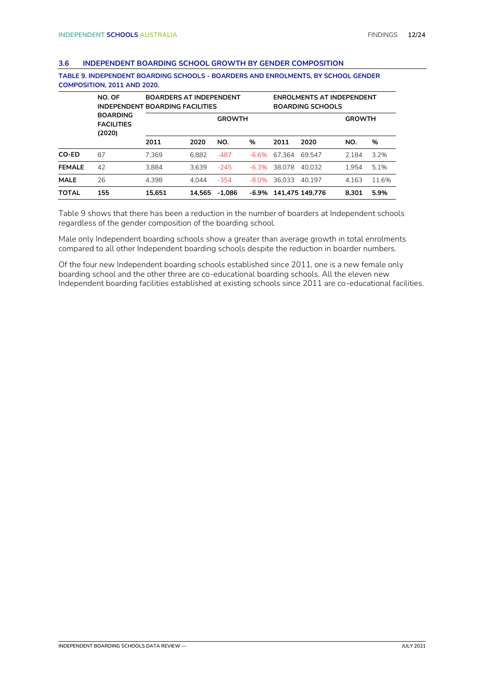#### <span id="page-11-0"></span>**3.6 INDEPENDENT BOARDING SCHOOL GROWTH BY GENDER COMPOSITION**

|               | NO. OF<br><b>INDEPENDENT BOARDING FACILITIES</b> |        | <b>BOARDERS AT INDEPENDENT</b> |          |          |        | <b>ENROLMENTS AT INDEPENDENT</b><br><b>BOARDING SCHOOLS</b> |       |               |
|---------------|--------------------------------------------------|--------|--------------------------------|----------|----------|--------|-------------------------------------------------------------|-------|---------------|
|               | <b>BOARDING</b><br><b>FACILITIES</b><br>(2020)   |        | <b>GROWTH</b>                  |          |          |        |                                                             |       | <b>GROWTH</b> |
|               |                                                  | 2011   | 2020                           | NO.      | %        | 2011   | 2020                                                        | NO.   | %             |
| CO-ED         | 87                                               | 7.369  | 6.882                          | $-487$   | -6.6%    | 67.364 | 69.547                                                      | 2.184 | 3.2%          |
| <b>FEMALE</b> | 42                                               | 3.884  | 3.639                          | $-245$   | $-6.3\%$ | 38.078 | 40.032                                                      | 1.954 | 5.1%          |
| <b>MALE</b>   | 26                                               | 4.398  | 4.044                          | $-354$   | $-8.0\%$ | 36.033 | 40.197                                                      | 4.163 | 11.6%         |
| <b>TOTAL</b>  | 155                                              | 15.651 | 14.565                         | $-1.086$ | -6.9%    |        | 141.475 149.776                                             | 8.301 | 5.9%          |

**TABLE 9. INDEPENDENT BOARDING SCHOOLS - BOARDERS AND ENROLMENTS, BY SCHOOL GENDER COMPOSITION, 2011 AND 2020.**

Table 9 shows that there has been a reduction in the number of boarders at Independent schools regardless of the gender composition of the boarding school.

Male only Independent boarding schools show a greater than average growth in total enrolments compared to all other Independent boarding schools despite the reduction in boarder numbers.

Of the four new Independent boarding schools established since 2011, one is a new female only boarding school and the other three are co-educational boarding schools. All the eleven new Independent boarding facilities established at existing schools since 2011 are co-educational facilities.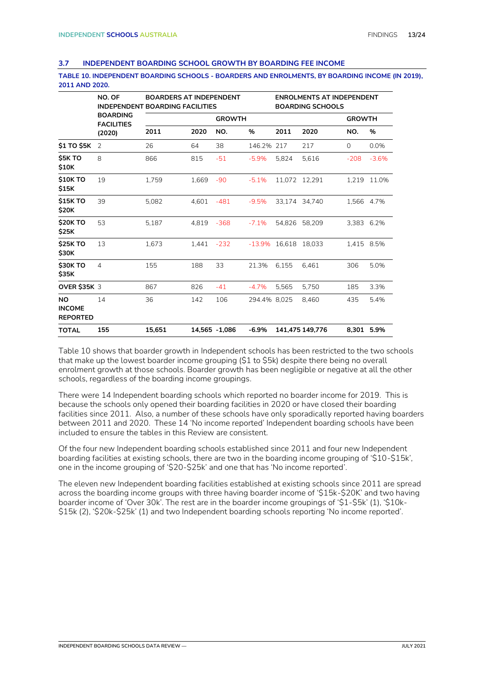#### <span id="page-12-0"></span>**3.7 INDEPENDENT BOARDING SCHOOL GROWTH BY BOARDING FEE INCOME**

**TABLE 10. INDEPENDENT BOARDING SCHOOLS - BOARDERS AND ENROLMENTS, BY BOARDING INCOME (IN 2019), 2011 AND 2020.**

|                                        | NO. OF                               | <b>BOARDERS AT INDEPENDENT</b><br><b>INDEPENDENT BOARDING FACILITIES</b> |               |               |              |               | <b>ENROLMENTS AT INDEPENDENT</b><br><b>BOARDING SCHOOLS</b> |               |         |
|----------------------------------------|--------------------------------------|--------------------------------------------------------------------------|---------------|---------------|--------------|---------------|-------------------------------------------------------------|---------------|---------|
|                                        | <b>BOARDING</b><br><b>FACILITIES</b> |                                                                          |               | <b>GROWTH</b> |              |               |                                                             | <b>GROWTH</b> |         |
|                                        | (2020)                               | 2011                                                                     | 2020          | NO.           | %            | 2011          | 2020                                                        | NO.           | %       |
| \$1 TO \$5K                            | $\overline{2}$                       | 26                                                                       | 64            | 38            | 146.2%       | 217           | 217                                                         | 0             | 0.0%    |
| <b>\$5K TO</b><br>\$10K                | 8                                    | 866                                                                      | 815           | $-51$         | $-5.9%$      | 5.824         | 5,616                                                       | $-208$        | $-3.6%$ |
| <b>\$10K TO</b><br>\$15K               | 19                                   | 1.759                                                                    | 1,669         | $-90$         | $-5.1%$      | 11.072 12.291 |                                                             | 1,219         | 11.0%   |
| <b>\$15K TO</b><br>\$20K               | 39                                   | 5,082                                                                    | 4,601         | $-481$        | $-9.5%$      | 33.174 34.740 |                                                             | 1,566 4.7%    |         |
| <b>\$20K TO</b><br>\$25K               | 53                                   | 5.187                                                                    | 4.819         | $-368$        | $-7.1%$      | 54.826        | 58,209                                                      | 3.383 6.2%    |         |
| <b>\$25K TO</b><br>\$30K               | 13                                   | 1,673                                                                    | 1.441         | $-232$        | $-13.9%$     | 16,618        | 18.033                                                      | 1,415 8.5%    |         |
| <b>\$30K TO</b><br>\$35K               | $\overline{4}$                       | 155                                                                      | 188           | 33            | 21.3%        | 6,155         | 6,461                                                       | 306           | 5.0%    |
| <b>OVER \$35K 3</b>                    |                                      | 867                                                                      | 826           | $-41$         | $-4.7%$      | 5.565         | 5.750                                                       | 185           | 3.3%    |
| NO<br><b>INCOME</b><br><b>REPORTED</b> | 14                                   | 36                                                                       | 142           | 106           | 294.4% 8,025 |               | 8,460                                                       | 435           | 5.4%    |
| <b>TOTAL</b>                           | 155                                  | 15,651                                                                   | 14,565 -1,086 |               | $-6.9%$      |               | 141,475 149,776                                             | 8,301 5.9%    |         |

Table 10 shows that boarder growth in Independent schools has been restricted to the two schools that make up the lowest boarder income grouping (\$1 to \$5k) despite there being no overall enrolment growth at those schools. Boarder growth has been negligible or negative at all the other schools, regardless of the boarding income groupings.

There were 14 Independent boarding schools which reported no boarder income for 2019. This is because the schools only opened their boarding facilities in 2020 or have closed their boarding facilities since 2011. Also, a number of these schools have only sporadically reported having boarders between 2011 and 2020. These 14 'No income reported' Independent boarding schools have been included to ensure the tables in this Review are consistent.

Of the four new Independent boarding schools established since 2011 and four new Independent boarding facilities at existing schools, there are two in the boarding income grouping of '\$10-\$15k', one in the income grouping of '\$20-\$25k' and one that has 'No income reported'.

The eleven new Independent boarding facilities established at existing schools since 2011 are spread across the boarding income groups with three having boarder income of '\$15k-\$20K' and two having boarder income of 'Over 30k'. The rest are in the boarder income groupings of '\$1-\$5k' (1), '\$10k- \$15k (2), '\$20k-\$25k' (1) and two Independent boarding schools reporting 'No income reported'.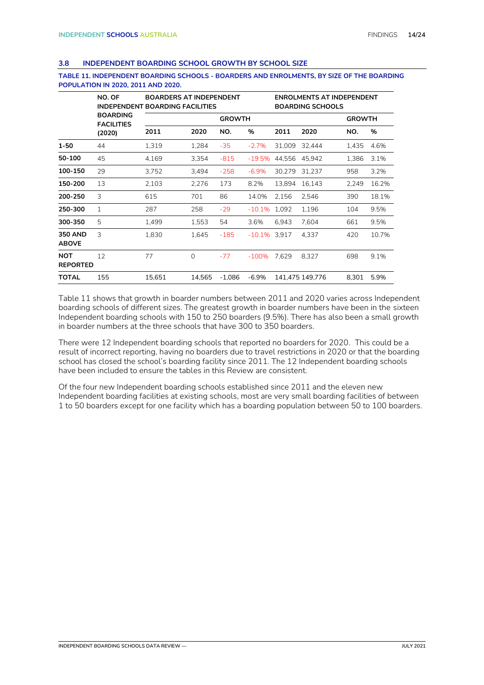#### <span id="page-13-0"></span>**3.8 INDEPENDENT BOARDING SCHOOL GROWTH BY SCHOOL SIZE**

#### **TABLE 11. INDEPENDENT BOARDING SCHOOLS - BOARDERS AND ENROLMENTS, BY SIZE OF THE BOARDING POPULATION IN 2020, 2011 AND 2020.**

|                                | NO. OF<br><b>INDEPENDENT</b>         | <b>BOARDERS AT INDEPENDENT</b><br><b>BOARDING FACILITIES</b> |              |          |          | <b>ENROLMENTS AT INDEPENDENT</b><br><b>BOARDING SCHOOLS</b> |                 |       |       |
|--------------------------------|--------------------------------------|--------------------------------------------------------------|--------------|----------|----------|-------------------------------------------------------------|-----------------|-------|-------|
|                                | <b>BOARDING</b><br><b>FACILITIES</b> |                                                              |              |          |          | <b>GROWTH</b>                                               |                 |       |       |
|                                | (2020)                               | 2011                                                         | 2020         | NO.      | %        | 2011                                                        | 2020            | NO.   | %     |
| $1 - 50$                       | 44                                   | 1,319                                                        | 1,284        | $-35$    | $-2.7%$  | 31,009                                                      | 32,444          | 1,435 | 4.6%  |
| 50-100                         | 45                                   | 4.169                                                        | 3.354        | $-815$   | $-19.5%$ | 44,556                                                      | 45,942          | 1.386 | 3.1%  |
| 100-150                        | 29                                   | 3,752                                                        | 3,494        | $-258$   | $-6.9%$  | 30.279                                                      | 31.237          | 958   | 3.2%  |
| 150-200                        | 13                                   | 2,103                                                        | 2,276        | 173      | 8.2%     | 13,894                                                      | 16,143          | 2,249 | 16.2% |
| 200-250                        | 3                                    | 615                                                          | 701          | 86       | 14.0%    | 2,156                                                       | 2,546           | 390   | 18.1% |
| 250-300                        | $\mathbf{1}$                         | 287                                                          | 258          | $-29$    | $-10.1%$ | 1.092                                                       | 1,196           | 104   | 9.5%  |
| 300-350                        | 5                                    | 1,499                                                        | 1,553        | 54       | 3.6%     | 6.943                                                       | 7.604           | 661   | 9.5%  |
| <b>350 AND</b><br><b>ABOVE</b> | 3                                    | 1,830                                                        | 1,645        | $-185$   | $-10.1%$ | 3.917                                                       | 4,337           | 420   | 10.7% |
| <b>NOT</b><br><b>REPORTED</b>  | 12                                   | 77                                                           | $\mathbf{0}$ | $-77$    | $-100%$  | 7,629                                                       | 8,327           | 698   | 9.1%  |
| <b>TOTAL</b>                   | 155                                  | 15,651                                                       | 14.565       | $-1.086$ | $-6.9%$  |                                                             | 141.475 149.776 | 8.301 | 5.9%  |

Table 11 shows that growth in boarder numbers between 2011 and 2020 varies across Independent boarding schools of different sizes. The greatest growth in boarder numbers have been in the sixteen Independent boarding schools with 150 to 250 boarders (9.5%). There has also been a small growth in boarder numbers at the three schools that have 300 to 350 boarders.

There were 12 Independent boarding schools that reported no boarders for 2020. This could be a result of incorrect reporting, having no boarders due to travel restrictions in 2020 or that the boarding school has closed the school's boarding facility since 2011. The 12 Independent boarding schools have been included to ensure the tables in this Review are consistent.

Of the four new Independent boarding schools established since 2011 and the eleven new Independent boarding facilities at existing schools, most are very small boarding facilities of between 1 to 50 boarders except for one facility which has a boarding population between 50 to 100 boarders.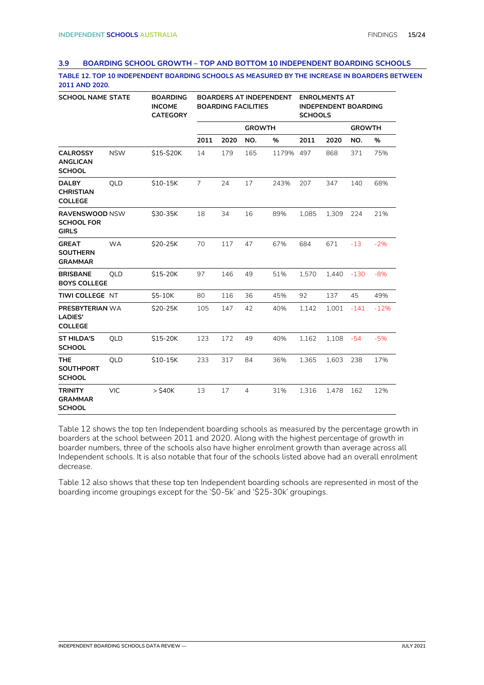#### <span id="page-14-0"></span>**3.9 BOARDING SCHOOL GROWTH – TOP AND BOTTOM 10 INDEPENDENT BOARDING SCHOOLS**

**TABLE 12. TOP 10 INDEPENDENT BOARDING SCHOOLS AS MEASURED BY THE INCREASE IN BOARDERS BETWEEN 2011 AND 2020.**

| <b>SCHOOL NAME STATE</b>                                   |            | <b>BOARDING</b><br><b>INCOME</b><br><b>CATEGORY</b> | <b>BOARDERS AT INDEPENDENT</b><br><b>BOARDING FACILITIES</b> |      |                |           | <b>ENROLMENTS AT</b><br><b>INDEPENDENT BOARDING</b><br><b>SCHOOLS</b> |       |               |        |
|------------------------------------------------------------|------------|-----------------------------------------------------|--------------------------------------------------------------|------|----------------|-----------|-----------------------------------------------------------------------|-------|---------------|--------|
|                                                            |            |                                                     |                                                              |      | <b>GROWTH</b>  |           |                                                                       |       | <b>GROWTH</b> |        |
|                                                            |            |                                                     | 2011                                                         | 2020 | NO.            | %         | 2011                                                                  | 2020  | NO.           | %      |
| <b>CALROSSY</b><br><b>ANGLICAN</b><br><b>SCHOOL</b>        | <b>NSW</b> | \$15-\$20K                                          | 14                                                           | 179  | 165            | 1179% 497 |                                                                       | 868   | 371           | 75%    |
| <b>DALBY</b><br><b>CHRISTIAN</b><br><b>COLLEGE</b>         | QLD        | \$10-15K                                            | $\overline{7}$                                               | 24   | 17             | 243%      | 207                                                                   | 347   | 140           | 68%    |
| RAVENSWOOD NSW<br><b>SCHOOL FOR</b><br><b>GIRLS</b>        |            | \$30-35K                                            | 18                                                           | 34   | 16             | 89%       | 1,085                                                                 | 1,309 | 224           | 21%    |
| <b>GREAT</b><br><b>SOUTHERN</b><br><b>GRAMMAR</b>          | <b>WA</b>  | \$20-25K                                            | 70                                                           | 117  | 47             | 67%       | 684                                                                   | 671   | $-13$         | $-2%$  |
| <b>BRISBANE</b><br><b>BOYS COLLEGE</b>                     | QLD        | \$15-20K                                            | 97                                                           | 146  | 49             | 51%       | 1,570                                                                 | 1,440 | $-130$        | $-8%$  |
| TIWI COLLEGE NT                                            |            | $$5-10K$                                            | 80                                                           | 116  | 36             | 45%       | 92                                                                    | 137   | 45            | 49%    |
| <b>PRESBYTERIAN WA</b><br><b>LADIES'</b><br><b>COLLEGE</b> |            | \$20-25K                                            | 105                                                          | 147  | 42             | 40%       | 1,142                                                                 | 1,001 | $-141$        | $-12%$ |
| <b>ST HILDA'S</b><br><b>SCHOOL</b>                         | QLD        | \$15-20K                                            | 123                                                          | 172  | 49             | 40%       | 1,162                                                                 | 1,108 | $-54$         | $-5%$  |
| <b>THE</b><br><b>SOUTHPORT</b><br><b>SCHOOL</b>            | QLD        | $$10-15K$                                           | 233                                                          | 317  | 84             | 36%       | 1,365                                                                 | 1,603 | 238           | 17%    |
| <b>TRINITY</b><br><b>GRAMMAR</b><br><b>SCHOOL</b>          | <b>VIC</b> | $>$ \$40 $K$                                        | 13                                                           | 17   | $\overline{4}$ | 31%       | 1,316                                                                 | 1,478 | 162           | 12%    |

Table 12 shows the top ten Independent boarding schools as measured by the percentage growth in boarders at the school between 2011 and 2020. Along with the highest percentage of growth in boarder numbers, three of the schools also have higher enrolment growth than average across all Independent schools. It is also notable that four of the schools listed above had an overall enrolment decrease.

Table 12 also shows that these top ten Independent boarding schools are represented in most of the boarding income groupings except for the '\$0-5k' and '\$25-30k' groupings.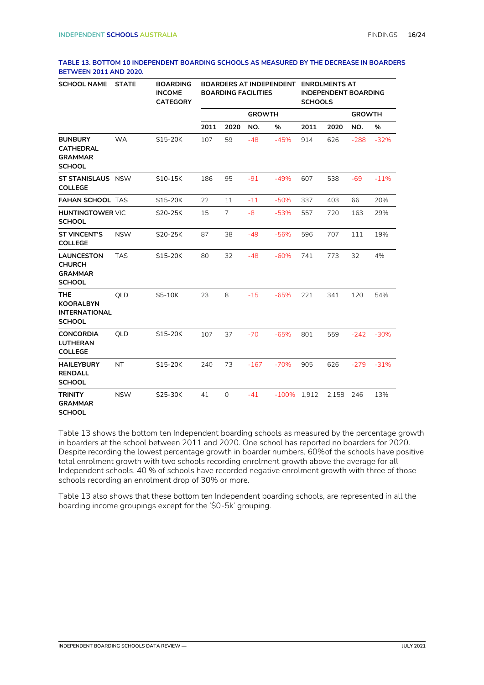#### **TABLE 13. BOTTOM 10 INDEPENDENT BOARDING SCHOOLS AS MEASURED BY THE DECREASE IN BOARDERS BETWEEN 2011 AND 2020.**

| <b>SCHOOL NAME</b>                                                      | <b>STATE</b> | <b>BOARDING</b><br><b>INCOME</b><br><b>CATEGORY</b> | BOARDERS AT INDEPENDENT ENROLMENTS AT<br><b>BOARDING FACILITIES</b> |                |               |         | <b>INDEPENDENT BOARDING</b><br><b>SCHOOLS</b> |       |               |        |
|-------------------------------------------------------------------------|--------------|-----------------------------------------------------|---------------------------------------------------------------------|----------------|---------------|---------|-----------------------------------------------|-------|---------------|--------|
|                                                                         |              |                                                     |                                                                     |                | <b>GROWTH</b> |         |                                               |       | <b>GROWTH</b> |        |
|                                                                         |              |                                                     | 2011                                                                | 2020           | NO.           | %       | 2011                                          | 2020  | NO.           | %      |
| <b>BUNBURY</b><br><b>CATHEDRAL</b><br><b>GRAMMAR</b><br><b>SCHOOL</b>   | <b>WA</b>    | \$15-20K                                            | 107                                                                 | 59             | $-48$         | $-45%$  | 914                                           | 626   | $-288$        | $-32%$ |
| <b>ST STANISLAUS</b> NSW<br><b>COLLEGE</b>                              |              | \$10-15K                                            | 186                                                                 | 95             | $-91$         | $-49%$  | 607                                           | 538   | $-69$         | $-11%$ |
| <b>FAHAN SCHOOL TAS</b>                                                 |              | \$15-20K                                            | 22                                                                  | 11             | $-11$         | $-50%$  | 337                                           | 403   | 66            | 20%    |
| <b>HUNTINGTOWER VIC</b><br><b>SCHOOL</b>                                |              | \$20-25K                                            | 15                                                                  | $\overline{7}$ | $-8$          | $-53%$  | 557                                           | 720   | 163           | 29%    |
| <b>ST VINCENT'S</b><br><b>COLLEGE</b>                                   | <b>NSW</b>   | \$20-25K                                            | 87                                                                  | 38             | $-49$         | $-56%$  | 596                                           | 707   | 111           | 19%    |
| <b>LAUNCESTON</b><br><b>CHURCH</b><br><b>GRAMMAR</b><br><b>SCHOOL</b>   | <b>TAS</b>   | \$15-20K                                            | 80                                                                  | 32             | $-48$         | $-60%$  | 741                                           | 773   | 32            | 4%     |
| <b>THE</b><br><b>KOORALBYN</b><br><b>INTERNATIONAL</b><br><b>SCHOOL</b> | QLD          | \$5-10K                                             | 23                                                                  | 8              | $-15$         | $-65%$  | 221                                           | 341   | 120           | 54%    |
| <b>CONCORDIA</b><br><b>LUTHERAN</b><br><b>COLLEGE</b>                   | QLD          | \$15-20K                                            | 107                                                                 | 37             | $-70$         | $-65%$  | 801                                           | 559   | $-242$        | $-30%$ |
| <b>HAILEYBURY</b><br><b>RENDALL</b><br><b>SCHOOL</b>                    | NT.          | \$15-20K                                            | 240                                                                 | 73             | $-167$        | $-70%$  | 905                                           | 626   | $-279$        | $-31%$ |
| <b>TRINITY</b><br><b>GRAMMAR</b><br><b>SCHOOL</b>                       | <b>NSW</b>   | \$25-30K                                            | 41                                                                  | $\mathbf 0$    | $-41$         | $-100%$ | 1,912                                         | 2,158 | 246           | 13%    |

Table 13 shows the bottom ten Independent boarding schools as measured by the percentage growth in boarders at the school between 2011 and 2020. One school has reported no boarders for 2020. Despite recording the lowest percentage growth in boarder numbers, 60%of the schools have positive total enrolment growth with two schools recording enrolment growth above the average for all Independent schools. 40 % of schools have recorded negative enrolment growth with three of those schools recording an enrolment drop of 30% or more.

Table 13 also shows that these bottom ten Independent boarding schools, are represented in all the boarding income groupings except for the '\$0-5k' grouping.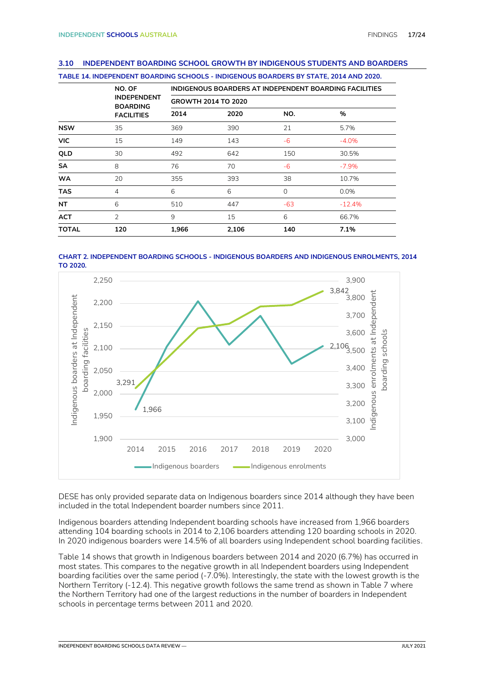#### <span id="page-16-0"></span>**3.10 INDEPENDENT BOARDING SCHOOL GROWTH BY INDIGENOUS STUDENTS AND BOARDERS**

|              | TABLE 14. INDEPENDENT BOARDING SCHOOLS - INDIGENOUS BOARDERS BY STATE, 2014 AND 2020. |       |                                                        |          |          |  |  |  |  |  |
|--------------|---------------------------------------------------------------------------------------|-------|--------------------------------------------------------|----------|----------|--|--|--|--|--|
|              | NO. OF                                                                                |       | INDIGENOUS BOARDERS AT INDEPENDENT BOARDING FACILITIES |          |          |  |  |  |  |  |
|              | <b>INDEPENDENT</b><br><b>BOARDING</b>                                                 |       | <b>GROWTH 2014 TO 2020</b>                             |          |          |  |  |  |  |  |
|              | <b>FACILITIES</b>                                                                     | 2014  | 2020                                                   | NO.      | %        |  |  |  |  |  |
| <b>NSW</b>   | 35                                                                                    | 369   | 390                                                    | 21       | 5.7%     |  |  |  |  |  |
| <b>VIC</b>   | 15                                                                                    | 149   | 143                                                    | $-6$     | $-4.0%$  |  |  |  |  |  |
| QLD          | 30                                                                                    | 492   | 642                                                    | 150      | 30.5%    |  |  |  |  |  |
| <b>SA</b>    | 8                                                                                     | 76    | 70                                                     | -6       | $-7.9%$  |  |  |  |  |  |
| <b>WA</b>    | 20                                                                                    | 355   | 393                                                    | 38       | 10.7%    |  |  |  |  |  |
| <b>TAS</b>   | 4                                                                                     | 6     | 6                                                      | $\Omega$ | $0.0\%$  |  |  |  |  |  |
| <b>NT</b>    | 6                                                                                     | 510   | 447                                                    | $-63$    | $-12.4%$ |  |  |  |  |  |
| <b>ACT</b>   | $\overline{2}$                                                                        | 9     | 15                                                     | 6        | 66.7%    |  |  |  |  |  |
| <b>TOTAL</b> | 120                                                                                   | 1,966 | 2,106                                                  | 140      | 7.1%     |  |  |  |  |  |





DESE has only provided separate data on Indigenous boarders since 2014 although they have been included in the total Independent boarder numbers since 2011.

Indigenous boarders attending Independent boarding schools have increased from 1,966 boarders attending 104 boarding schools in 2014 to 2,106 boarders attending 120 boarding schools in 2020. In 2020 indigenous boarders were 14.5% of all boarders using Independent school boarding facilities.

Table 14 shows that growth in Indigenous boarders between 2014 and 2020 (6.7%) has occurred in most states. This compares to the negative growth in all Independent boarders using Independent boarding facilities over the same period (-7.0%). Interestingly, the state with the lowest growth is the Northern Territory (-12.4). This negative growth follows the same trend as shown in Table 7 where the Northern Territory had one of the largest reductions in the number of boarders in Independent schools in percentage terms between 2011 and 2020.

**INDEPENDENT BOARDING SCHOOLS DATA REVIEW — JULY 2021**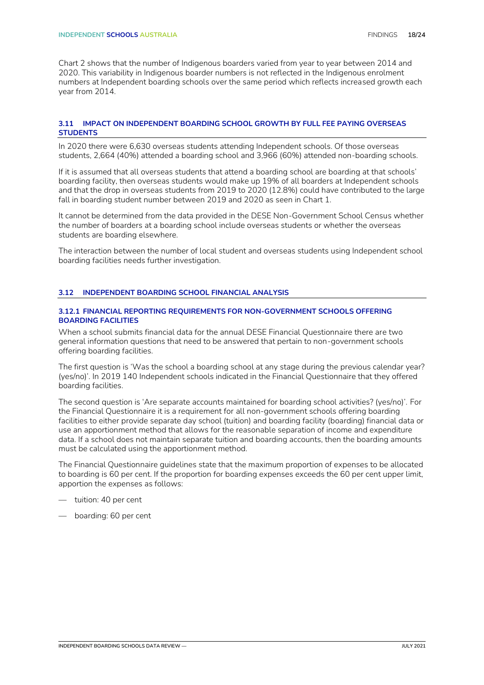Chart 2 shows that the number of Indigenous boarders varied from year to year between 2014 and 2020. This variability in Indigenous boarder numbers is not reflected in the Indigenous enrolment numbers at Independent boarding schools over the same period which reflects increased growth each year from 2014.

#### <span id="page-17-0"></span>**3.11 IMPACT ON INDEPENDENT BOARDING SCHOOL GROWTH BY FULL FEE PAYING OVERSEAS STUDENTS**

In 2020 there were 6,630 overseas students attending Independent schools. Of those overseas students, 2,664 (40%) attended a boarding school and 3,966 (60%) attended non-boarding schools.

If it is assumed that all overseas students that attend a boarding school are boarding at that schools' boarding facility, then overseas students would make up 19% of all boarders at Independent schools and that the drop in overseas students from 2019 to 2020 (12.8%) could have contributed to the large fall in boarding student number between 2019 and 2020 as seen in Chart 1.

It cannot be determined from the data provided in the DESE Non-Government School Census whether the number of boarders at a boarding school include overseas students or whether the overseas students are boarding elsewhere.

The interaction between the number of local student and overseas students using Independent school boarding facilities needs further investigation.

#### <span id="page-17-1"></span>**3.12 INDEPENDENT BOARDING SCHOOL FINANCIAL ANALYSIS**

#### **3.12.1 FINANCIAL REPORTING REQUIREMENTS FOR NON-GOVERNMENT SCHOOLS OFFERING BOARDING FACILITIES**

When a school submits financial data for the annual DESE Financial Questionnaire there are two general information questions that need to be answered that pertain to non-government schools offering boarding facilities.

The first question is 'Was the school a boarding school at any stage during the previous calendar year? (yes/no)'. In 2019 140 Independent schools indicated in the Financial Questionnaire that they offered boarding facilities.

The second question is 'Are separate accounts maintained for boarding school activities? (yes/no)'. For the Financial Questionnaire it is a requirement for all non-government schools offering boarding facilities to either provide separate day school (tuition) and boarding facility (boarding) financial data or use an apportionment method that allows for the reasonable separation of income and expenditure data. If a school does not maintain separate tuition and boarding accounts, then the boarding amounts must be calculated using the apportionment method.

The Financial Questionnaire guidelines state that the maximum proportion of expenses to be allocated to boarding is 60 per cent. If the proportion for boarding expenses exceeds the 60 per cent upper limit, apportion the expenses as follows:

- tuition: 40 per cent
- boarding: 60 per cent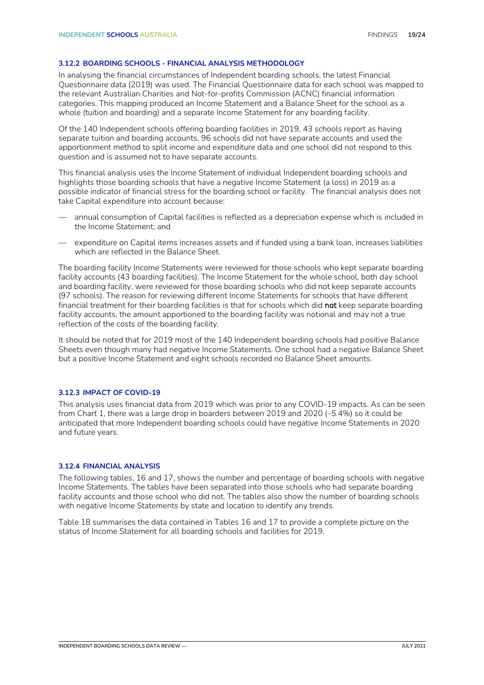#### **3.12.2 BOARDING SCHOOLS - FINANCIAL ANALYSIS METHODOLOGY**

In analysing the financial circumstances of Independent boarding schools, the latest Financial Questionnaire data (2019) was used. The Financial Questionnaire data for each school was mapped to the relevant Australian Charities and Not-for-profits Commission (ACNC) financial information categories. This mapping produced an Income Statement and a Balance Sheet for the school as a whole (tuition and boarding) and a separate Income Statement for any boarding facility.

Of the 140 Independent schools offering boarding facilities in 2019, 43 schools report as having separate tuition and boarding accounts, 96 schools did not have separate accounts and used the apportionment method to split income and expenditure data and one school did not respond to this question and is assumed not to have separate accounts.

This financial analysis uses the Income Statement of individual Independent boarding schools and highlights those boarding schools that have a negative Income Statement (a loss) in 2019 as a possible indicator of financial stress for the boarding school or facility. The financial analysis does not take Capital expenditure into account because:

- annual consumption of Capital facilities is reflected as a depreciation expense which is included in the Income Statement; and
- expenditure on Capital items increases assets and if funded using a bank loan, increases liabilities which are reflected in the Balance Sheet.

The boarding facility Income Statements were reviewed for those schools who kept separate boarding facility accounts (43 boarding facilities). The Income Statement for the whole school, both day school and boarding facility, were reviewed for those boarding schools who did not keep separate accounts (97 schools). The reason for reviewing different Income Statements for schools that have different financial treatment for their boarding facilities is that for schools which did not keep separate boarding facility accounts, the amount apportioned to the boarding facility was notional and may not a true reflection of the costs of the boarding facility.

It should be noted that for 2019 most of the 140 Independent boarding schools had positive Balance Sheets even though many had negative Income Statements. One school had a negative Balance Sheet but a positive Income Statement and eight schools recorded no Balance Sheet amounts.

#### **3.12.3 IMPACT OF COVID-19**

This analysis uses financial data from 2019 which was prior to any COVID-19 impacts. As can be seen from Chart 1, there was a large drop in boarders between 2019 and 2020 (-5.4%) so it could be anticipated that more Independent boarding schools could have negative Income Statements in 2020 and future years.

#### **3.12.4 FINANCIAL ANALYSIS**

The following tables, 16 and 17, shows the number and percentage of boarding schools with negative Income Statements. The tables have been separated into those schools who had separate boarding facility accounts and those school who did not. The tables also show the number of boarding schools with negative Income Statements by state and location to identify any trends.

Table 18 summarises the data contained in Tables 16 and 17 to provide a complete picture on the status of Income Statement for all boarding schools and facilities for 2019.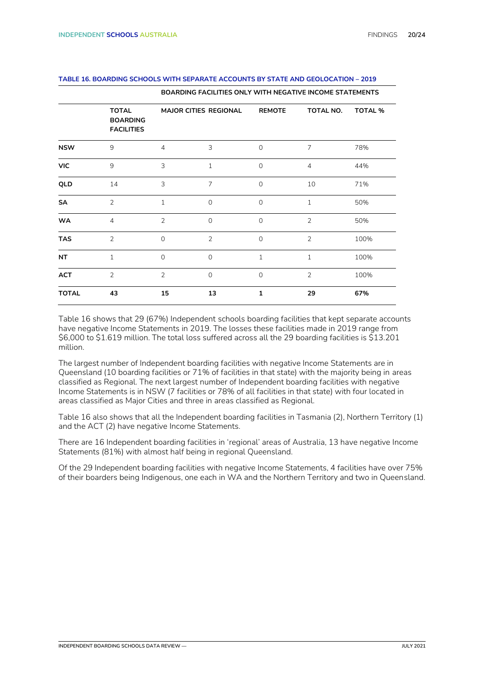|              |                                                      | <b>BOARDING FACILITIES ONLY WITH NEGATIVE INCOME STATEMENTS</b> |                              |                |                |                |  |  |  |
|--------------|------------------------------------------------------|-----------------------------------------------------------------|------------------------------|----------------|----------------|----------------|--|--|--|
|              | <b>TOTAL</b><br><b>BOARDING</b><br><b>FACILITIES</b> |                                                                 | <b>MAJOR CITIES REGIONAL</b> | <b>REMOTE</b>  | TOTAL NO.      | <b>TOTAL %</b> |  |  |  |
| <b>NSW</b>   | 9                                                    | $\overline{4}$                                                  | 3                            | $\overline{0}$ | $\overline{7}$ | 78%            |  |  |  |
| <b>VIC</b>   | 9                                                    | 3                                                               | $1\,$                        | $\mathbf 0$    | $\overline{4}$ | 44%            |  |  |  |
| QLD          | 14                                                   | 3                                                               | $\overline{7}$               | $\overline{0}$ | 10             | 71%            |  |  |  |
| <b>SA</b>    | $\overline{2}$                                       | $\mathbf{1}$                                                    | $\Omega$                     | $\overline{0}$ | $\mathbf{1}$   | 50%            |  |  |  |
| <b>WA</b>    | $\overline{4}$                                       | 2                                                               | $\mathbf 0$                  | $\mathbf{0}$   | $\overline{2}$ | 50%            |  |  |  |
| <b>TAS</b>   | $\overline{2}$                                       | $\mathbf{O}$                                                    | 2                            | $\overline{0}$ | 2              | 100%           |  |  |  |
| <b>NT</b>    | $\mathbf{1}$                                         | $\Omega$                                                        | $\Omega$                     | $\mathbf{1}$   | $\mathbf{1}$   | 100%           |  |  |  |
| <b>ACT</b>   | $\overline{2}$                                       | $\overline{2}$                                                  | $\Omega$                     | $\overline{0}$ | $\overline{2}$ | 100%           |  |  |  |
| <b>TOTAL</b> | 43                                                   | 15                                                              | 13                           | $\mathbf{1}$   | 29             | 67%            |  |  |  |

#### **TABLE 16. BOARDING SCHOOLS WITH SEPARATE ACCOUNTS BY STATE AND GEOLOCATION – 2019**

Table 16 shows that 29 (67%) Independent schools boarding facilities that kept separate accounts have negative Income Statements in 2019. The losses these facilities made in 2019 range from \$6,000 to \$1.619 million. The total loss suffered across all the 29 boarding facilities is \$13.201 million.

The largest number of Independent boarding facilities with negative Income Statements are in Queensland (10 boarding facilities or 71% of facilities in that state) with the majority being in areas classified as Regional. The next largest number of Independent boarding facilities with negative Income Statements is in NSW (7 facilities or 78% of all facilities in that state) with four located in areas classified as Major Cities and three in areas classified as Regional.

Table 16 also shows that all the Independent boarding facilities in Tasmania (2), Northern Territory (1) and the ACT (2) have negative Income Statements.

There are 16 Independent boarding facilities in 'regional' areas of Australia, 13 have negative Income Statements (81%) with almost half being in regional Queensland.

Of the 29 Independent boarding facilities with negative Income Statements, 4 facilities have over 75% of their boarders being Indigenous, one each in WA and the Northern Territory and two in Queensland.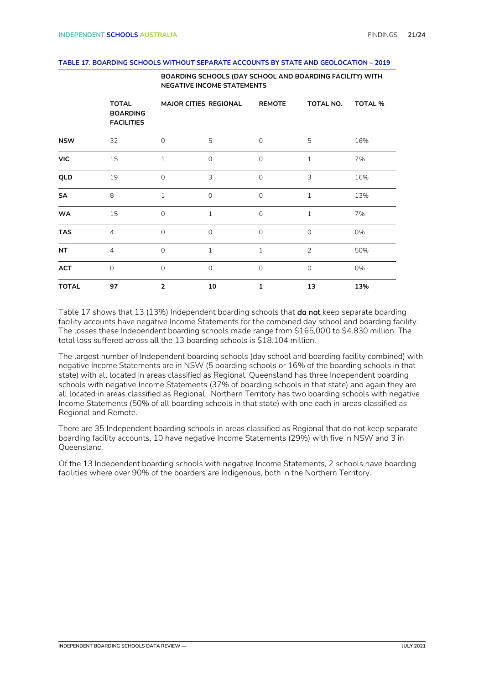#### **TABLE 17. BOARDING SCHOOLS WITHOUT SEPARATE ACCOUNTS BY STATE AND GEOLOCATION – 2019**

|              |                                                      | <b>NEGATIVE INCOME STATEMENTS</b> |                       |               |                |                |  |  |  |
|--------------|------------------------------------------------------|-----------------------------------|-----------------------|---------------|----------------|----------------|--|--|--|
|              | <b>TOTAL</b><br><b>BOARDING</b><br><b>FACILITIES</b> |                                   | MAJOR CITIES REGIONAL | <b>REMOTE</b> | TOTAL NO.      | <b>TOTAL %</b> |  |  |  |
| <b>NSW</b>   | 32                                                   | $\mathbf 0$                       | 5                     | $\mathbf{O}$  | 5              | 16%            |  |  |  |
| <b>VIC</b>   | 15                                                   | $\mathbf{1}$                      | $\Omega$              | $\mathbf 0$   | $\mathbf{1}$   | 7%             |  |  |  |
| QLD          | 19                                                   | $\Omega$                          | 3                     | $\Omega$      | 3              | 16%            |  |  |  |
| SA           | 8                                                    | $\mathbf 1$                       | $\mathbf{O}$          | $\mathbf 0$   | $\mathbf{1}$   | 13%            |  |  |  |
| <b>WA</b>    | 15                                                   | $\mathbf 0$                       | $\mathbf{1}$          | $\mathbf 0$   | $\mathbf{1}$   | 7%             |  |  |  |
| <b>TAS</b>   | $\overline{4}$                                       | $\circ$                           | $\Omega$              | $\mathbf 0$   | $\Omega$       | 0%             |  |  |  |
| <b>NT</b>    | $\overline{4}$                                       | $\Omega$                          | $\mathbf{1}$          | 1             | $\overline{2}$ | 50%            |  |  |  |
| <b>ACT</b>   | $\Omega$                                             | $\overline{0}$                    | $\mathbf{O}$          | $\mathbf 0$   | $\mathbf 0$    | 0%             |  |  |  |
| <b>TOTAL</b> | 97                                                   | $\overline{2}$                    | 10                    | $\mathbf{1}$  | 13             | 13%            |  |  |  |

**BOARDING SCHOOLS (DAY SCHOOL AND BOARDING FACILITY) WITH** 

Table 17 shows that 13 (13%) Independent boarding schools that **do not** keep separate boarding facility accounts have negative Income Statements for the combined day school and boarding facility. The losses these Independent boarding schools made range from \$165,000 to \$4.830 million. The total loss suffered across all the 13 boarding schools is \$18.104 million.

The largest number of Independent boarding schools (day school and boarding facility combined) with negative Income Statements are in NSW (5 boarding schools or 16% of the boarding schools in that state) with all located in areas classified as Regional. Queensland has three Independent boarding schools with negative Income Statements (37% of boarding schools in that state) and again they are all located in areas classified as Regional. Northern Territory has two boarding schools with negative Income Statements (50% of all boarding schools in that state) with one each in areas classified as Regional and Remote.

There are 35 Independent boarding schools in areas classified as Regional that do not keep separate boarding facility accounts, 10 have negative Income Statements (29%) with five in NSW and 3 in Queensland.

Of the 13 Independent boarding schools with negative Income Statements, 2 schools have boarding facilities where over 90% of the boarders are Indigenous, both in the Northern Territory.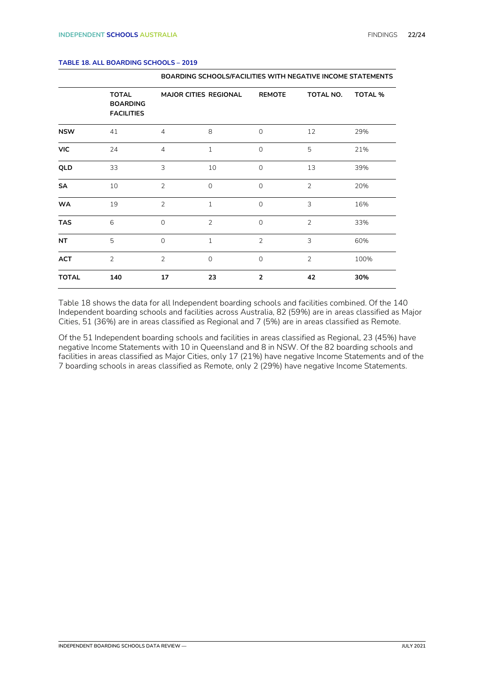|              | <b>TOTAL</b><br><b>BOARDING</b><br><b>FACILITIES</b> |                | MAJOR CITIES REGIONAL | <b>REMOTE</b>  | TOTAL NO.      | <b>TOTAL %</b> |
|--------------|------------------------------------------------------|----------------|-----------------------|----------------|----------------|----------------|
| <b>NSW</b>   | 41                                                   | $\overline{4}$ | 8                     | $\mathbf 0$    | 12             | 29%            |
| <b>VIC</b>   | 24                                                   | $\overline{4}$ | $\mathbf{1}$          | $\mathbf 0$    | 5              | 21%            |
| QLD          | 33                                                   | 3              | 10                    | $\mathbf 0$    | 13             | 39%            |
| SA           | 10                                                   | $\overline{2}$ | $\overline{0}$        | $\overline{0}$ | $\overline{2}$ | 20%            |
| <b>WA</b>    | 19                                                   | 2              | $\mathbf{1}$          | $\overline{0}$ | 3              | 16%            |
| <b>TAS</b>   | 6                                                    | $\mathbf{0}$   | $\overline{2}$        | $\mathbf 0$    | $\overline{2}$ | 33%            |
| <b>NT</b>    | 5                                                    | $\mathbf{0}$   | $\mathbf{1}$          | $\overline{2}$ | 3              | 60%            |
| <b>ACT</b>   | $\overline{2}$                                       | $\overline{2}$ | $\Omega$              | $\overline{0}$ | $\overline{2}$ | 100%           |
| <b>TOTAL</b> | 140                                                  | 17             | 23                    | $\overline{2}$ | 42             | 30%            |

**BOARDING SCHOOLS/FACILITIES WITH NEGATIVE INCOME STATEMENTS**

#### **TABLE 18. ALL BOARDING SCHOOLS – 2019**

Table 18 shows the data for all Independent boarding schools and facilities combined. Of the 140 Independent boarding schools and facilities across Australia, 82 (59%) are in areas classified as Major Cities, 51 (36%) are in areas classified as Regional and 7 (5%) are in areas classified as Remote.

Of the 51 Independent boarding schools and facilities in areas classified as Regional, 23 (45%) have negative Income Statements with 10 in Queensland and 8 in NSW. Of the 82 boarding schools and facilities in areas classified as Major Cities, only 17 (21%) have negative Income Statements and of the 7 boarding schools in areas classified as Remote, only 2 (29%) have negative Income Statements.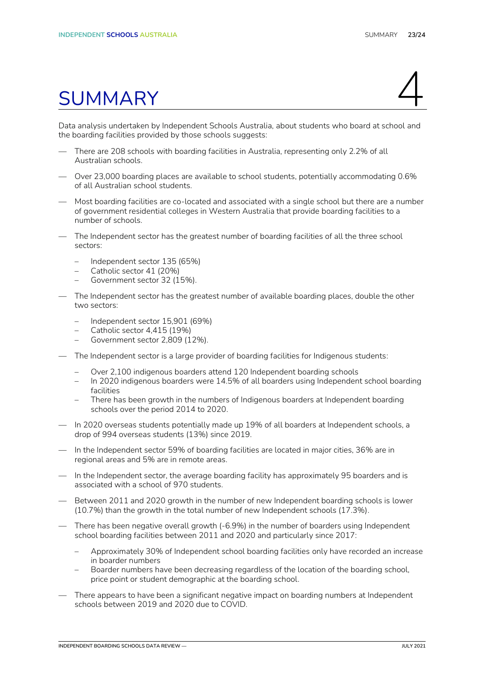# <span id="page-22-0"></span>summary 4

Data analysis undertaken by Independent Schools Australia, about students who board at school and the boarding facilities provided by those schools suggests:

- There are 208 schools with boarding facilities in Australia, representing only 2.2% of all Australian schools.
- Over 23,000 boarding places are available to school students, potentially accommodating 0.6% of all Australian school students.
- Most boarding facilities are co-located and associated with a single school but there are a number of government residential colleges in Western Australia that provide boarding facilities to a number of schools.
- The Independent sector has the greatest number of boarding facilities of all the three school sectors:
	- Independent sector 135 (65%)
	- Catholic sector 41 (20%)
	- Government sector 32 (15%).
- The Independent sector has the greatest number of available boarding places, double the other two sectors:
	- Independent sector 15,901 (69%)
	- Catholic sector 4,415 (19%)
	- Government sector 2,809 (12%).
- The Independent sector is a large provider of boarding facilities for Indigenous students:
	- Over 2,100 indigenous boarders attend 120 Independent boarding schools
	- In 2020 indigenous boarders were 14.5% of all boarders using Independent school boarding facilities
	- There has been growth in the numbers of Indigenous boarders at Independent boarding schools over the period 2014 to 2020.
- In 2020 overseas students potentially made up 19% of all boarders at Independent schools, a drop of 994 overseas students (13%) since 2019.
- In the Independent sector 59% of boarding facilities are located in major cities, 36% are in regional areas and 5% are in remote areas.
- In the Independent sector, the average boarding facility has approximately 95 boarders and is associated with a school of 970 students.
- Between 2011 and 2020 growth in the number of new Independent boarding schools is lower (10.7%) than the growth in the total number of new Independent schools (17.3%).
- There has been negative overall growth (-6.9%) in the number of boarders using Independent school boarding facilities between 2011 and 2020 and particularly since 2017:
	- Approximately 30% of Independent school boarding facilities only have recorded an increase in boarder numbers
	- Boarder numbers have been decreasing regardless of the location of the boarding school, price point or student demographic at the boarding school.
- There appears to have been a significant negative impact on boarding numbers at Independent schools between 2019 and 2020 due to COVID.